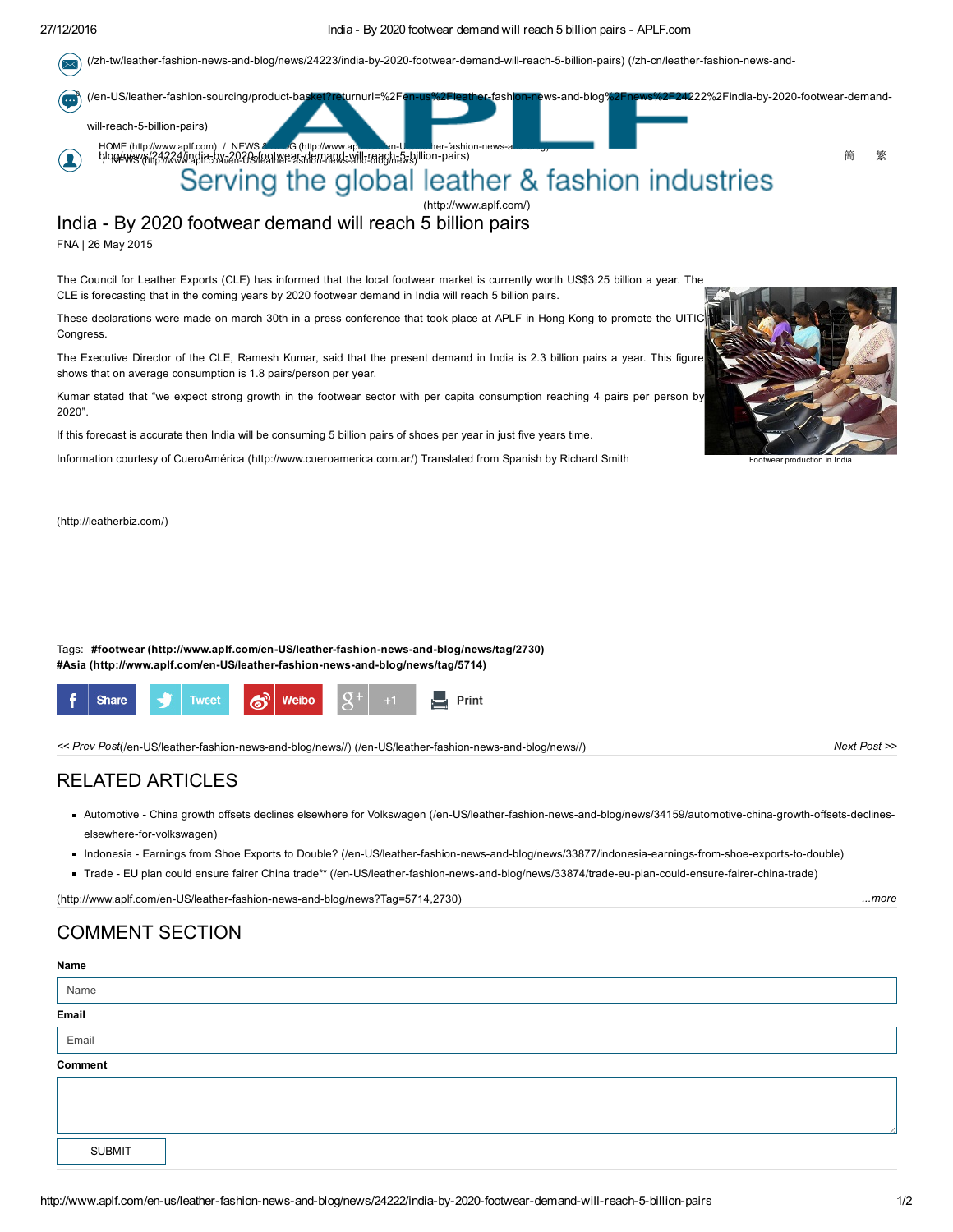#### 27/12/2016 India By 2020 footwear demand will reach 5 billion pairs APLF.com

(/zh-tw/leather-fashion-news-and-blog/news/24223/india-by-2020-footwear-demand-will-reach-5-billion-pairs) (/zh-cn/leather-fashion-news-and- $\sim$ 



India - By 2020 footwear demand will reach 5 billion pairs

FNA | 26 May 2015

The Council for Leather Exports (CLE) has informed that the local footwear market is currently worth US\$3.25 billion a year. The CLE is forecasting that in the coming years by 2020 footwear demand in India will reach 5 billion pairs.

These declarations were made on march 30th in a press conference that took place at APLF in Hong Kong to promote the UITIC Congress.

The Executive Director of the CLE, Ramesh Kumar, said that the present demand in India is 2.3 billion pairs a year. This figure shows that on average consumption is 1.8 pairs/person per year.

Kumar stated that "we expect strong growth in the footwear sector with per capita consumption reaching 4 pairs per person by 2020".

If this forecast is accurate then India will be consuming 5 billion pairs of shoes per year in just five years time.

Information courtesy of CueroAmérica [\(http://www.cueroamerica.com.ar/\)](http://www.cueroamerica.com.ar/) Translated from Spanish by Richard Smith

[\(http://leatherbiz.com/\)](http://leatherbiz.com/)





<< Prev Post(/en-US/leather-fashion-news-and-blog/news//) (/en-US/leather-fashion-news-and-blog/news//) Next Post >>

### RELATED ARTICLES

- Automotive China growth offsets declines elsewhere for Volkswagen (/en-US/leather-fashion-news-and-blog/news/34159/automotive-china-growth-offsets-declineselsewhere-for-volkswagen)
- Indonesia Earnings from Shoe Exports to Double? (/en-US/leather-fashion-news-and-blog/news/33877/indonesia-earnings-from-shoe-exports-to-double)
- Trade EU plan could ensure fairer China trade\*\* (/en-US/leather-fashion-news-and-blog/news/33874/trade-eu-plan-could-ensure-fairer-china-trade)

[\(http://www.aplf.com/enUS/leatherfashionnewsandblog/news?Tag=5714,2730\)](http://www.aplf.com/en-US/leather-fashion-news-and-blog/news?Tag=5714,2730) ...more

## COMMENT SECTION

# Name Name Email Email Comment SUBMIT



Footwear producti